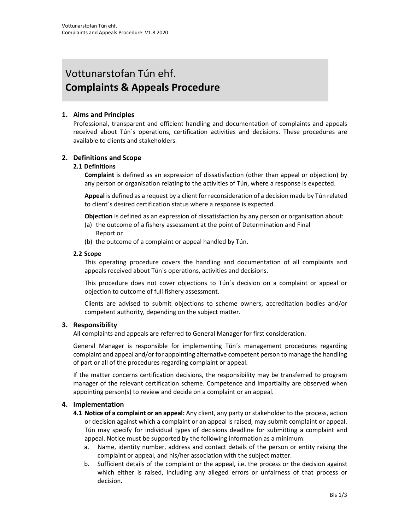# Vottunarstofan Tún ehf. Complaints & Appeals Procedure

# 1. Aims and Principles

Professional, transparent and efficient handling and documentation of complaints and appeals received about Tún´s operations, certification activities and decisions. These procedures are available to clients and stakeholders.

#### 2. Definitions and Scope

#### 2.1 Definitions

Complaint is defined as an expression of dissatisfaction (other than appeal or objection) by any person or organisation relating to the activities of Tún, where a response is expected.

Appeal is defined as a request by a client for reconsideration of a decision made by Tún related to client´s desired certification status where a response is expected.

Objection is defined as an expression of dissatisfaction by any person or organisation about:

- (a) the outcome of a fishery assessment at the point of Determination and Final Report or
- (b) the outcome of a complaint or appeal handled by Tún.

#### 2.2 Scope

This operating procedure covers the handling and documentation of all complaints and appeals received about Tún´s operations, activities and decisions.

This procedure does not cover objections to Tún´s decision on a complaint or appeal or objection to outcome of full fishery assessment.

Clients are advised to submit objections to scheme owners, accreditation bodies and/or competent authority, depending on the subject matter.

#### 3. Responsibility

All complaints and appeals are referred to General Manager for first consideration.

General Manager is responsible for implementing Tún´s management procedures regarding complaint and appeal and/or for appointing alternative competent person to manage the handling of part or all of the procedures regarding complaint or appeal.

If the matter concerns certification decisions, the responsibility may be transferred to program manager of the relevant certification scheme. Competence and impartiality are observed when appointing person(s) to review and decide on a complaint or an appeal.

#### 4. Implementation

- 4.1 Notice of a complaint or an appeal: Any client, any party or stakeholder to the process, action or decision against which a complaint or an appeal is raised, may submit complaint or appeal. Tún may specify for individual types of decisions deadline for submitting a complaint and appeal. Notice must be supported by the following information as a minimum:
	- a. Name, identity number, address and contact details of the person or entity raising the complaint or appeal, and his/her association with the subject matter.
	- b. Sufficient details of the complaint or the appeal, i.e. the process or the decision against which either is raised, including any alleged errors or unfairness of that process or decision.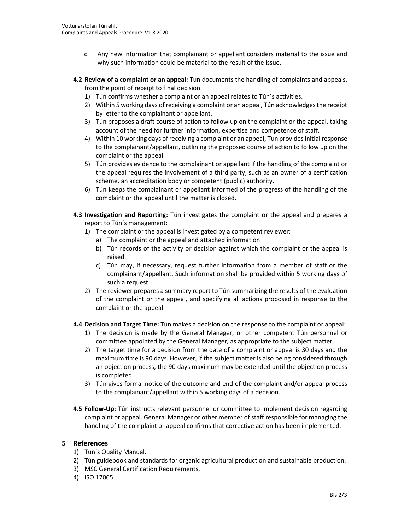- c. Any new information that complainant or appellant considers material to the issue and why such information could be material to the result of the issue.
- 4.2 Review of a complaint or an appeal: Tún documents the handling of complaints and appeals, from the point of receipt to final decision.
	- 1) Tún confirms whether a complaint or an appeal relates to Tún´s activities.
	- 2) Within 5 working days of receiving a complaint or an appeal, Tún acknowledges the receipt by letter to the complainant or appellant.
	- 3) Tún proposes a draft course of action to follow up on the complaint or the appeal, taking account of the need for further information, expertise and competence of staff.
	- 4) Within 10 working days of receiving a complaint or an appeal, Tún provides initial response to the complainant/appellant, outlining the proposed course of action to follow up on the complaint or the appeal.
	- 5) Tún provides evidence to the complainant or appellant if the handling of the complaint or the appeal requires the involvement of a third party, such as an owner of a certification scheme, an accreditation body or competent (public) authority.
	- 6) Tún keeps the complainant or appellant informed of the progress of the handling of the complaint or the appeal until the matter is closed.
- 4.3 Investigation and Reporting: Tún investigates the complaint or the appeal and prepares a report to Tún´s management:
	- 1) The complaint or the appeal is investigated by a competent reviewer:
		- a) The complaint or the appeal and attached information
		- b) Tún records of the activity or decision against which the complaint or the appeal is raised.
		- c) Tún may, if necessary, request further information from a member of staff or the complainant/appellant. Such information shall be provided within 5 working days of such a request.
	- 2) The reviewer prepares a summary report to Tún summarizing the results of the evaluation of the complaint or the appeal, and specifying all actions proposed in response to the complaint or the appeal.
- 4.4 Decision and Target Time: Tún makes a decision on the response to the complaint or appeal:
	- 1) The decision is made by the General Manager, or other competent Tún personnel or committee appointed by the General Manager, as appropriate to the subject matter.
	- 2) The target time for a decision from the date of a complaint or appeal is 30 days and the maximum time is 90 days. However, if the subject matter is also being considered through an objection process, the 90 days maximum may be extended until the objection process is completed.
	- 3) Tún gives formal notice of the outcome and end of the complaint and/or appeal process to the complainant/appellant within 5 working days of a decision.
- 4.5 Follow-Up: Tún instructs relevant personnel or committee to implement decision regarding complaint or appeal. General Manager or other member of staff responsible for managing the handling of the complaint or appeal confirms that corrective action has been implemented.

#### 5 References

- 1) Tún´s Quality Manual.
- 2) Tún guidebook and standards for organic agricultural production and sustainable production.
- 3) MSC General Certification Requirements.
- 4) ISO 17065.